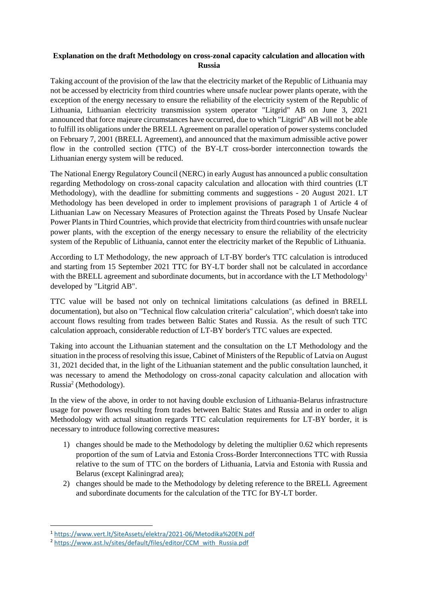## **Explanation on the draft Methodology on cross-zonal capacity calculation and allocation with Russia**

Taking account of the provision of the law that the electricity market of the Republic of Lithuania may not be accessed by electricity from third countries where unsafe nuclear power plants operate, with the exception of the energy necessary to ensure the reliability of the electricity system of the Republic of Lithuania, Lithuanian electricity transmission system operator "Litgrid" AB on June 3, 2021 announced that force majeure circumstances have occurred, due to which "Litgrid" AB will not be able to fulfill its obligations under the BRELL Agreement on parallel operation of power systems concluded on February 7, 2001 (BRELL Agreement), and announced that the maximum admissible active power flow in the controlled section (TTC) of the BY-LT cross-border interconnection towards the Lithuanian energy system will be reduced.

The National Energy Regulatory Council (NERC) in early August has announced a public consultation regarding Methodology on cross-zonal capacity calculation and allocation with third countries (LT Methodology), with the deadline for submitting comments and suggestions - 20 August 2021. LT Methodology has been developed in order to implement provisions of paragraph 1 of Article 4 of Lithuanian Law on Necessary Measures of Protection against the Threats Posed by Unsafe Nuclear Power Plants in Third Countries, which provide that electricity from third countries with unsafe nuclear power plants, with the exception of the energy necessary to ensure the reliability of the electricity system of the Republic of Lithuania, cannot enter the electricity market of the Republic of Lithuania.

According to LT Methodology, the new approach of LT-BY border's TTC calculation is introduced and starting from 15 September 2021 TTC for BY-LT border shall not be calculated in accordance with the BRELL agreement and subordinate documents, but in accordance with the LT Methodology<sup>1</sup> developed by "Litgrid AB".

TTC value will be based not only on technical limitations calculations (as defined in BRELL documentation), but also on "Technical flow calculation criteria" calculation", which doesn't take into account flows resulting from trades between Baltic States and Russia. As the result of such TTC calculation approach, considerable reduction of LT-BY border's TTC values are expected.

Taking into account the Lithuanian statement and the consultation on the LT Methodology and the situation in the process of resolving this issue, Cabinet of Ministers of the Republic of Latvia on August 31, 2021 decided that, in the light of the Lithuanian statement and the public consultation launched, it was necessary to amend the Methodology on cross-zonal capacity calculation and allocation with Russia<sup>2</sup> (Methodology).

In the view of the above, in order to not having double exclusion of Lithuania-Belarus infrastructure usage for power flows resulting from trades between Baltic States and Russia and in order to align Methodology with actual situation regards TTC calculation requirements for LT-BY border, it is necessary to introduce following corrective measures**:**

- 1) changes should be made to the Methodology by deleting the multiplier 0.62 which represents proportion of the sum of Latvia and Estonia Cross-Border Interconnections TTC with Russia relative to the sum of TTC on the borders of Lithuania, Latvia and Estonia with Russia and Belarus (except Kaliningrad area);
- 2) changes should be made to the Methodology by deleting reference to the BRELL Agreement and subordinate documents for the calculation of the TTC for BY-LT border.

 $\overline{a}$ 

<sup>1</sup> <https://www.vert.lt/SiteAssets/elektra/2021-06/Metodika%20EN.pdf>

<sup>&</sup>lt;sup>2</sup> [https://www.ast.lv/sites/default/files/editor/CCM\\_with\\_Russia.pdf](https://www.ast.lv/sites/default/files/editor/CCM_with_Russia.pdf)